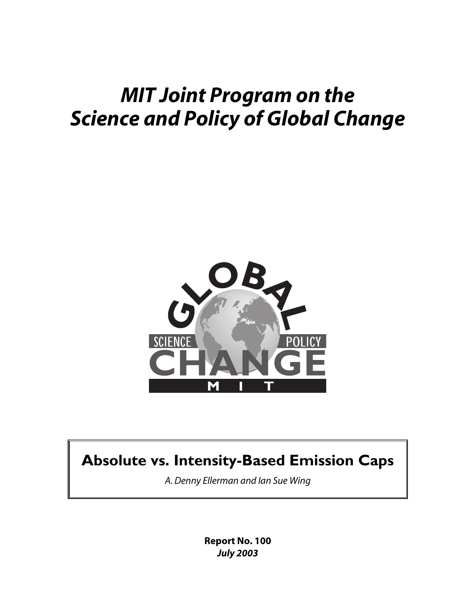# *MIT Joint Program on the Science and Policy of Global Change*



# **Absolute vs. Intensity-Based Emission Caps**

*A. Denny Ellerman and Ian Sue Wing*

**Report No. 100** *July 2003*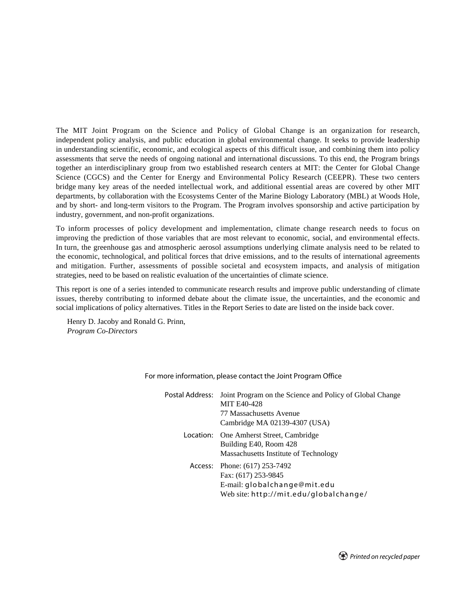The MIT Joint Program on the Science and Policy of Global Change is an organization for research, independent policy analysis, and public education in global environmental change. It seeks to provide leadership in understanding scientific, economic, and ecological aspects of this difficult issue, and combining them into policy assessments that serve the needs of ongoing national and international discussions. To this end, the Program brings together an interdisciplinary group from two established research centers at MIT: the Center for Global Change Science (CGCS) and the Center for Energy and Environmental Policy Research (CEEPR). These two centers bridge many key areas of the needed intellectual work, and additional essential areas are covered by other MIT departments, by collaboration with the Ecosystems Center of the Marine Biology Laboratory (MBL) at Woods Hole, and by short- and long-term visitors to the Program. The Program involves sponsorship and active participation by industry, government, and non-profit organizations.

To inform processes of policy development and implementation, climate change research needs to focus on improving the prediction of those variables that are most relevant to economic, social, and environmental effects. In turn, the greenhouse gas and atmospheric aerosol assumptions underlying climate analysis need to be related to the economic, technological, and political forces that drive emissions, and to the results of international agreements and mitigation. Further, assessments of possible societal and ecosystem impacts, and analysis of mitigation strategies, need to be based on realistic evaluation of the uncertainties of climate science.

This report is one of a series intended to communicate research results and improve public understanding of climate issues, thereby contributing to informed debate about the climate issue, the uncertainties, and the economic and social implications of policy alternatives. Titles in the Report Series to date are listed on the inside back cover.

Henry D. Jacoby and Ronald G. Prinn, *Program Co-Directors*

> Postal Address: Joint Program on the Science and Policy of Global Change MIT E40-428 77 Massachusetts Avenue Cambridge MA 02139-4307 (USA) Location: One Amherst Street, Cambridge Building E40, Room 428 Massachusetts Institute of Technology Access: Phone: (617) 253-7492 Fax: (617) 253-9845 E-mail: globalchange@mit.edu Web site: http://mit.edu/globalchange/

For more information, please contact the Joint Program Office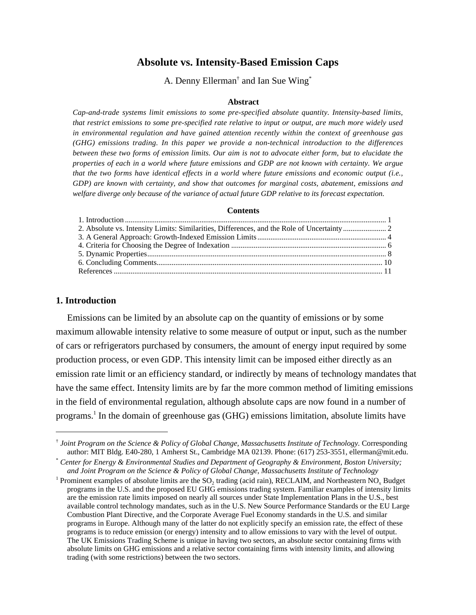# **Absolute vs. Intensity-Based Emission Caps**

A. Denny Ellerman<sup>†</sup> and Ian Sue Wing<sup>\*</sup>

#### **Abstract**

*Cap-and-trade systems limit emissions to some pre-specified absolute quantity. Intensity-based limits, that restrict emissions to some pre-specified rate relative to input or output, are much more widely used in environmental regulation and have gained attention recently within the context of greenhouse gas (GHG) emissions trading. In this paper we provide a non-technical introduction to the differences between these two forms of emission limits. Our aim is not to advocate either form, but to elucidate the properties of each in a world where future emissions and GDP are not known with certainty. We argue that the two forms have identical effects in a world where future emissions and economic output (i.e., GDP) are known with certainty, and show that outcomes for marginal costs, abatement, emissions and welfare diverge only because of the variance of actual future GDP relative to its forecast expectation.*

#### **Contents**

# **1. Introduction**

Emissions can be limited by an absolute cap on the quantity of emissions or by some maximum allowable intensity relative to some measure of output or input, such as the number of cars or refrigerators purchased by consumers, the amount of energy input required by some production process, or even GDP. This intensity limit can be imposed either directly as an emission rate limit or an efficiency standard, or indirectly by means of technology mandates that have the same effect. Intensity limits are by far the more common method of limiting emissions in the field of environmental regulation, although absolute caps are now found in a number of programs.<sup>1</sup> In the domain of greenhouse gas (GHG) emissions limitation, absolute limits have

 <sup>†</sup> *Joint Program on the Science & Policy of Global Change, Massachusetts Institute of Technology.* Corresponding author: MIT Bldg. E40-280, 1 Amherst St., Cambridge MA 02139. Phone: (617) 253-3551, ellerman@mit.edu.

<sup>\*</sup> *Center for Energy & Environmental Studies and Department of Geography & Environment, Boston University; and Joint Program on the Science & Policy of Global Change, Massachusetts Institute of Technology*

<sup>&</sup>lt;sup>1</sup> Prominent examples of absolute limits are the  $SO_2$  trading (acid rain), RECLAIM, and Northeastern NO<sub>x</sub> Budget programs in the U.S. and the proposed EU GHG emissions trading system. Familiar examples of intensity limits are the emission rate limits imposed on nearly all sources under State Implementation Plans in the U.S., best available control technology mandates, such as in the U.S. New Source Performance Standards or the EU Large Combustion Plant Directive, and the Corporate Average Fuel Economy standards in the U.S. and similar programs in Europe. Although many of the latter do not explicitly specify an emission rate, the effect of these programs is to reduce emission (or energy) intensity and to allow emissions to vary with the level of output. The UK Emissions Trading Scheme is unique in having two sectors, an absolute sector containing firms with absolute limits on GHG emissions and a relative sector containing firms with intensity limits, and allowing trading (with some restrictions) between the two sectors.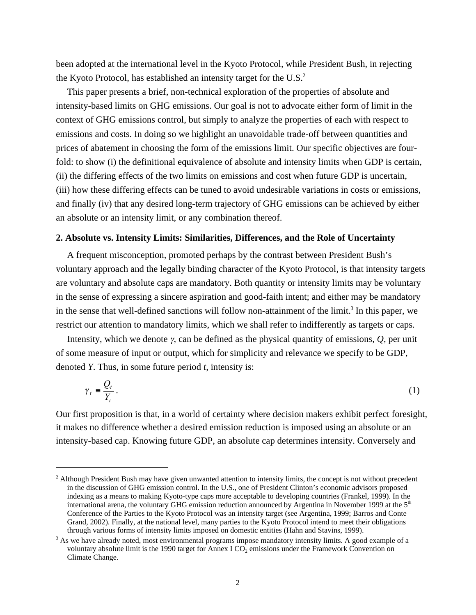been adopted at the international level in the Kyoto Protocol, while President Bush, in rejecting the Kyoto Protocol, has established an intensity target for the  $U.S.^2$ 

This paper presents a brief, non-technical exploration of the properties of absolute and intensity-based limits on GHG emissions. Our goal is not to advocate either form of limit in the context of GHG emissions control, but simply to analyze the properties of each with respect to emissions and costs. In doing so we highlight an unavoidable trade-off between quantities and prices of abatement in choosing the form of the emissions limit. Our specific objectives are fourfold: to show (i) the definitional equivalence of absolute and intensity limits when GDP is certain, (ii) the differing effects of the two limits on emissions and cost when future GDP is uncertain, (iii) how these differing effects can be tuned to avoid undesirable variations in costs or emissions, and finally (iv) that any desired long-term trajectory of GHG emissions can be achieved by either an absolute or an intensity limit, or any combination thereof.

#### **2. Absolute vs. Intensity Limits: Similarities, Differences, and the Role of Uncertainty**

A frequent misconception, promoted perhaps by the contrast between President Bush's voluntary approach and the legally binding character of the Kyoto Protocol, is that intensity targets are voluntary and absolute caps are mandatory. Both quantity or intensity limits may be voluntary in the sense of expressing a sincere aspiration and good-faith intent; and either may be mandatory in the sense that well-defined sanctions will follow non-attainment of the limit.<sup>3</sup> In this paper, we restrict our attention to mandatory limits, which we shall refer to indifferently as targets or caps.

Intensity, which we denote γ, can be defined as the physical quantity of emissions, *Q*, per unit of some measure of input or output, which for simplicity and relevance we specify to be GDP, denoted *Y*. Thus, in some future period *t*, intensity is:

$$
\gamma_t = \frac{Q_t}{Y_t} \,. \tag{1}
$$

Our first proposition is that, in a world of certainty where decision makers exhibit perfect foresight, it makes no difference whether a desired emission reduction is imposed using an absolute or an intensity-based cap. Knowing future GDP, an absolute cap determines intensity. Conversely and

 $\frac{1}{2}$ <sup>2</sup> Although President Bush may have given unwanted attention to intensity limits, the concept is not without precedent in the discussion of GHG emission control. In the U.S., one of President Clinton's economic advisors proposed indexing as a means to making Kyoto-type caps more acceptable to developing countries (Frankel, 1999). In the international arena, the voluntary GHG emission reduction announced by Argentina in November 1999 at the  $5<sup>th</sup>$ Conference of the Parties to the Kyoto Protocol was an intensity target (see Argentina, 1999; Barros and Conte Grand, 2002). Finally, at the national level, many parties to the Kyoto Protocol intend to meet their obligations through various forms of intensity limits imposed on domestic entities (Hahn and Stavins, 1999).

 $3$  As we have already noted, most environmental programs impose mandatory intensity limits. A good example of a voluntary absolute limit is the 1990 target for Annex I CO<sub>2</sub> emissions under the Framework Convention on Climate Change.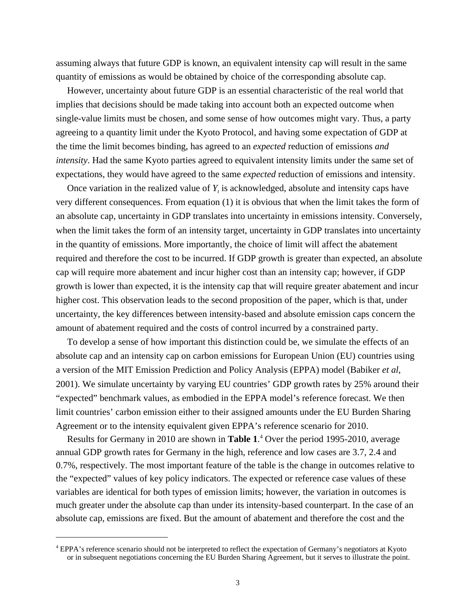assuming always that future GDP is known, an equivalent intensity cap will result in the same quantity of emissions as would be obtained by choice of the corresponding absolute cap.

However, uncertainty about future GDP is an essential characteristic of the real world that implies that decisions should be made taking into account both an expected outcome when single-value limits must be chosen, and some sense of how outcomes might vary. Thus, a party agreeing to a quantity limit under the Kyoto Protocol, and having some expectation of GDP at the time the limit becomes binding, has agreed to an *expected* reduction of emissions *and intensity*. Had the same Kyoto parties agreed to equivalent intensity limits under the same set of expectations, they would have agreed to the same *expected* reduction of emissions and intensity.

Once variation in the realized value of  $Y_t$  is acknowledged, absolute and intensity caps have very different consequences. From equation (1) it is obvious that when the limit takes the form of an absolute cap, uncertainty in GDP translates into uncertainty in emissions intensity. Conversely, when the limit takes the form of an intensity target, uncertainty in GDP translates into uncertainty in the quantity of emissions. More importantly, the choice of limit will affect the abatement required and therefore the cost to be incurred. If GDP growth is greater than expected, an absolute cap will require more abatement and incur higher cost than an intensity cap; however, if GDP growth is lower than expected, it is the intensity cap that will require greater abatement and incur higher cost. This observation leads to the second proposition of the paper, which is that, under uncertainty, the key differences between intensity-based and absolute emission caps concern the amount of abatement required and the costs of control incurred by a constrained party.

To develop a sense of how important this distinction could be, we simulate the effects of an absolute cap and an intensity cap on carbon emissions for European Union (EU) countries using a version of the MIT Emission Prediction and Policy Analysis (EPPA) model (Babiker *et al*, 2001). We simulate uncertainty by varying EU countries' GDP growth rates by 25% around their "expected" benchmark values, as embodied in the EPPA model's reference forecast. We then limit countries' carbon emission either to their assigned amounts under the EU Burden Sharing Agreement or to the intensity equivalent given EPPA's reference scenario for 2010.

Results for Germany in 2010 are shown in **Table 1**. 4 Over the period 1995-2010, average annual GDP growth rates for Germany in the high, reference and low cases are 3.7, 2.4 and 0.7%, respectively. The most important feature of the table is the change in outcomes relative to the "expected" values of key policy indicators. The expected or reference case values of these variables are identical for both types of emission limits; however, the variation in outcomes is much greater under the absolute cap than under its intensity-based counterpart. In the case of an absolute cap, emissions are fixed. But the amount of abatement and therefore the cost and the

 $\frac{1}{4}$  EPPA's reference scenario should not be interpreted to reflect the expectation of Germany's negotiators at Kyoto or in subsequent negotiations concerning the EU Burden Sharing Agreement, but it serves to illustrate the point.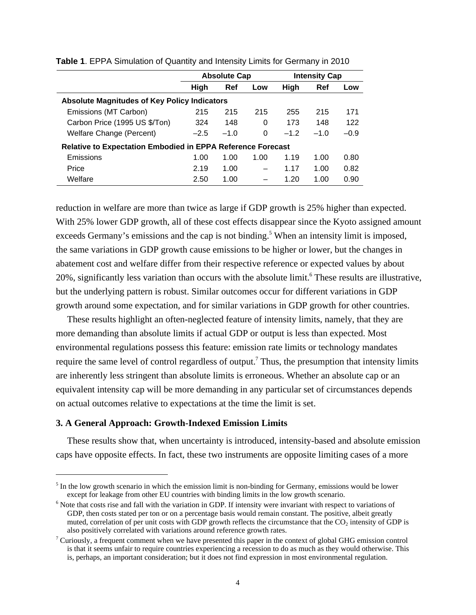|                                                                    | <b>Absolute Cap</b> |        |      | <b>Intensity Cap</b> |            |        |  |  |
|--------------------------------------------------------------------|---------------------|--------|------|----------------------|------------|--------|--|--|
|                                                                    | High                | Ref    | Low  | <b>High</b>          | <b>Ref</b> | Low    |  |  |
| <b>Absolute Magnitudes of Key Policy Indicators</b>                |                     |        |      |                      |            |        |  |  |
| Emissions (MT Carbon)                                              | 215                 | 215    | 215  | 255                  | 215        | 171    |  |  |
| Carbon Price (1995 US \$/Ton)                                      | 324                 | 148    | 0    | 173                  | 148        | 122    |  |  |
| Welfare Change (Percent)                                           | $-2.5$              | $-1.0$ | 0    | $-1.2$               | $-1.0$     | $-0.9$ |  |  |
| <b>Relative to Expectation Embodied in EPPA Reference Forecast</b> |                     |        |      |                      |            |        |  |  |
| Emissions                                                          | 1.00                | 1.00   | 1.00 | 1.19                 | 1.00       | 0.80   |  |  |
| Price                                                              | 2.19                | 1.00   |      | 1.17                 | 1.00       | 0.82   |  |  |
| Welfare                                                            | 2.50                | 1.00   |      | 1.20                 | 1.00       | 0.90   |  |  |

**Table 1**. EPPA Simulation of Quantity and Intensity Limits for Germany in 2010

reduction in welfare are more than twice as large if GDP growth is 25% higher than expected. With 25% lower GDP growth, all of these cost effects disappear since the Kyoto assigned amount exceeds Germany's emissions and the cap is not binding.<sup>5</sup> When an intensity limit is imposed, the same variations in GDP growth cause emissions to be higher or lower, but the changes in abatement cost and welfare differ from their respective reference or expected values by about 20%, significantly less variation than occurs with the absolute limit.<sup>6</sup> These results are illustrative, but the underlying pattern is robust. Similar outcomes occur for different variations in GDP growth around some expectation, and for similar variations in GDP growth for other countries.

These results highlight an often-neglected feature of intensity limits, namely, that they are more demanding than absolute limits if actual GDP or output is less than expected. Most environmental regulations possess this feature: emission rate limits or technology mandates require the same level of control regardless of output.<sup>7</sup> Thus, the presumption that intensity limits are inherently less stringent than absolute limits is erroneous. Whether an absolute cap or an equivalent intensity cap will be more demanding in any particular set of circumstances depends on actual outcomes relative to expectations at the time the limit is set.

### **3. A General Approach: Growth-Indexed Emission Limits**

These results show that, when uncertainty is introduced, intensity-based and absolute emission caps have opposite effects. In fact, these two instruments are opposite limiting cases of a more

<sup>&</sup>lt;sup>-</sup><br>5  $<sup>5</sup>$  In the low growth scenario in which the emission limit is non-binding for Germany, emissions would be lower</sup> except for leakage from other EU countries with binding limits in the low growth scenario.

<sup>&</sup>lt;sup>6</sup> Note that costs rise and fall with the variation in GDP. If intensity were invariant with respect to variations of GDP, then costs stated per ton or on a percentage basis would remain constant. The positive, albeit greatly muted, correlation of per unit costs with GDP growth reflects the circumstance that the CO<sub>2</sub> intensity of GDP is also positively correlated with variations around reference growth rates.

<sup>&</sup>lt;sup>7</sup> Curiously, a frequent comment when we have presented this paper in the context of global GHG emission control is that it seems unfair to require countries experiencing a recession to do as much as they would otherwise. This is, perhaps, an important consideration; but it does not find expression in most environmental regulation.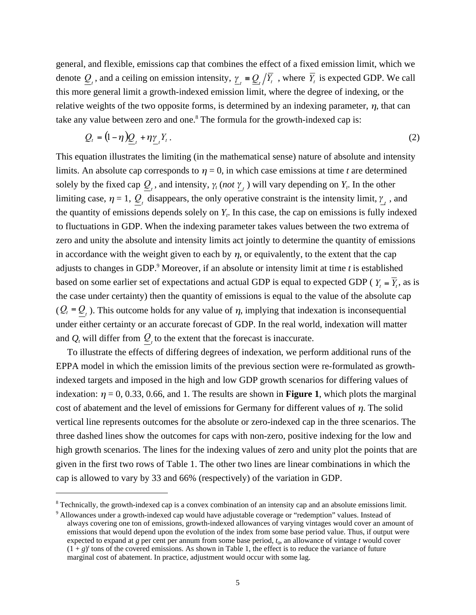general, and flexible, emissions cap that combines the effect of a fixed emission limit, which we denote  $Q_t$ , and a ceiling on emission intensity,  $\gamma_t = Q_t / \overline{Y_t}$ , where  $\overline{Y_t}$  is expected GDP. We call this more general limit a growth-indexed emission limit, where the degree of indexing, or the relative weights of the two opposite forms, is determined by an indexing parameter,  $\eta$ , that can take any value between zero and one.<sup>8</sup> The formula for the growth-indexed cap is:

$$
Q_t = (1 - \eta) \underline{Q}_t + \eta \underline{\gamma}_t Y_t \,. \tag{2}
$$

This equation illustrates the limiting (in the mathematical sense) nature of absolute and intensity limits. An absolute cap corresponds to  $\eta = 0$ , in which case emissions at time *t* are determined solely by the fixed cap  $Q_t$ , and intensity,  $\gamma_t$  (*not*  $\gamma_t$ ) will vary depending on  $Y_t$ . In the other limiting case,  $\eta = 1$ ,  $Q_t$  disappears, the only operative constraint is the intensity limit,  $\gamma_t$ , and the quantity of emissions depends solely on  $Y_t$ . In this case, the cap on emissions is fully indexed to fluctuations in GDP. When the indexing parameter takes values between the two extrema of zero and unity the absolute and intensity limits act jointly to determine the quantity of emissions in accordance with the weight given to each by  $\eta$ , or equivalently, to the extent that the cap adjusts to changes in GDP.9 Moreover, if an absolute or intensity limit at time *t* is established based on some earlier set of expectations and actual GDP is equal to expected GDP ( $Y_t = \overline{Y_t}$ , as is the case under certainty) then the quantity of emissions is equal to the value of the absolute cap  $(Q_t = Q_t)$ . This outcome holds for any value of  $\eta$ , implying that indexation is inconsequential under either certainty or an accurate forecast of GDP. In the real world, indexation will matter and  $Q_t$  will differ from  $Q_t$  to the extent that the forecast is inaccurate.

To illustrate the effects of differing degrees of indexation, we perform additional runs of the EPPA model in which the emission limits of the previous section were re-formulated as growthindexed targets and imposed in the high and low GDP growth scenarios for differing values of indexation:  $\eta = 0, 0.33, 0.66,$  and 1. The results are shown in **Figure 1**, which plots the marginal cost of abatement and the level of emissions for Germany for different values of  $\eta$ . The solid vertical line represents outcomes for the absolute or zero-indexed cap in the three scenarios. The three dashed lines show the outcomes for caps with non-zero, positive indexing for the low and high growth scenarios. The lines for the indexing values of zero and unity plot the points that are given in the first two rows of Table 1. The other two lines are linear combinations in which the cap is allowed to vary by 33 and 66% (respectively) of the variation in GDP.

<sup>|&</sup>lt;br>8  $8$  Technically, the growth-indexed cap is a convex combination of an intensity cap and an absolute emissions limit.

<sup>&</sup>lt;sup>9</sup> Allowances under a growth-indexed cap would have adjustable coverage or "redemption" values. Instead of always covering one ton of emissions, growth-indexed allowances of varying vintages would cover an amount of emissions that would depend upon the evolution of the index from some base period value. Thus, if output were expected to expand at  $g$  per cent per annum from some base period,  $t_0$ , an allowance of vintage  $t$  would cover  $(1 + g)^t$  tons of the covered emissions. As shown in Table 1, the effect is to reduce the variance of future marginal cost of abatement. In practice, adjustment would occur with some lag.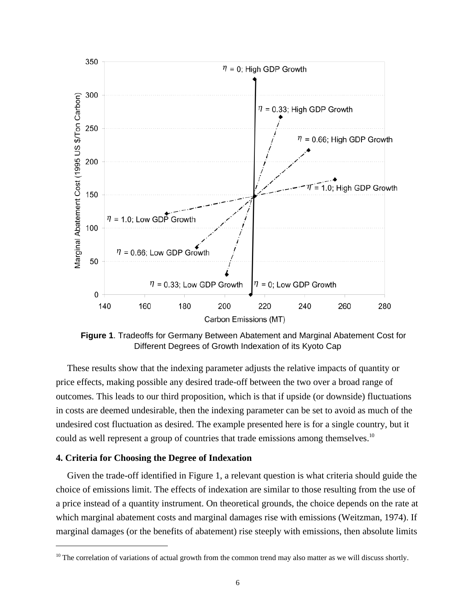

**Figure 1**. Tradeoffs for Germany Between Abatement and Marginal Abatement Cost for Different Degrees of Growth Indexation of its Kyoto Cap

These results show that the indexing parameter adjusts the relative impacts of quantity or price effects, making possible any desired trade-off between the two over a broad range of outcomes. This leads to our third proposition, which is that if upside (or downside) fluctuations in costs are deemed undesirable, then the indexing parameter can be set to avoid as much of the undesired cost fluctuation as desired. The example presented here is for a single country, but it could as well represent a group of countries that trade emissions among themselves.<sup>10</sup>

### **4. Criteria for Choosing the Degree of Indexation**

Given the trade-off identified in Figure 1, a relevant question is what criteria should guide the choice of emissions limit. The effects of indexation are similar to those resulting from the use of a price instead of a quantity instrument. On theoretical grounds, the choice depends on the rate at which marginal abatement costs and marginal damages rise with emissions (Weitzman, 1974). If marginal damages (or the benefits of abatement) rise steeply with emissions, then absolute limits

<sup>&</sup>lt;sup>10</sup> The correlation of variations of actual growth from the common trend may also matter as we will discuss shortly.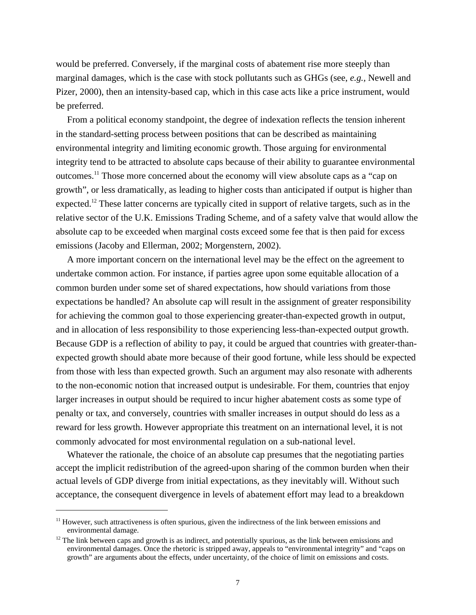would be preferred. Conversely, if the marginal costs of abatement rise more steeply than marginal damages, which is the case with stock pollutants such as GHGs (see, *e.g.,* Newell and Pizer, 2000), then an intensity-based cap, which in this case acts like a price instrument, would be preferred.

From a political economy standpoint, the degree of indexation reflects the tension inherent in the standard-setting process between positions that can be described as maintaining environmental integrity and limiting economic growth. Those arguing for environmental integrity tend to be attracted to absolute caps because of their ability to guarantee environmental outcomes.11 Those more concerned about the economy will view absolute caps as a "cap on growth", or less dramatically, as leading to higher costs than anticipated if output is higher than expected.<sup>12</sup> These latter concerns are typically cited in support of relative targets, such as in the relative sector of the U.K. Emissions Trading Scheme, and of a safety valve that would allow the absolute cap to be exceeded when marginal costs exceed some fee that is then paid for excess emissions (Jacoby and Ellerman, 2002; Morgenstern, 2002).

A more important concern on the international level may be the effect on the agreement to undertake common action. For instance, if parties agree upon some equitable allocation of a common burden under some set of shared expectations, how should variations from those expectations be handled? An absolute cap will result in the assignment of greater responsibility for achieving the common goal to those experiencing greater-than-expected growth in output, and in allocation of less responsibility to those experiencing less-than-expected output growth. Because GDP is a reflection of ability to pay, it could be argued that countries with greater-thanexpected growth should abate more because of their good fortune, while less should be expected from those with less than expected growth. Such an argument may also resonate with adherents to the non-economic notion that increased output is undesirable. For them, countries that enjoy larger increases in output should be required to incur higher abatement costs as some type of penalty or tax, and conversely, countries with smaller increases in output should do less as a reward for less growth. However appropriate this treatment on an international level, it is not commonly advocated for most environmental regulation on a sub-national level.

Whatever the rationale, the choice of an absolute cap presumes that the negotiating parties accept the implicit redistribution of the agreed-upon sharing of the common burden when their actual levels of GDP diverge from initial expectations, as they inevitably will. Without such acceptance, the consequent divergence in levels of abatement effort may lead to a breakdown

 $11$  However, such attractiveness is often spurious, given the indirectness of the link between emissions and environmental damage.

 $12$  The link between caps and growth is as indirect, and potentially spurious, as the link between emissions and environmental damages. Once the rhetoric is stripped away, appeals to "environmental integrity" and "caps on growth" are arguments about the effects, under uncertainty, of the choice of limit on emissions and costs.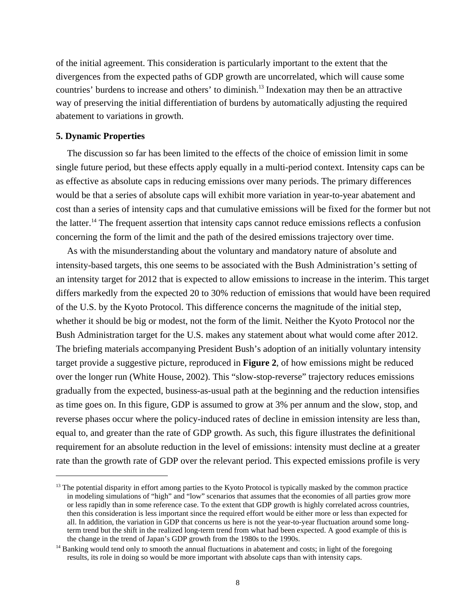of the initial agreement. This consideration is particularly important to the extent that the divergences from the expected paths of GDP growth are uncorrelated, which will cause some countries' burdens to increase and others' to diminish.13 Indexation may then be an attractive way of preserving the initial differentiation of burdens by automatically adjusting the required abatement to variations in growth.

#### **5. Dynamic Properties**

The discussion so far has been limited to the effects of the choice of emission limit in some single future period, but these effects apply equally in a multi-period context. Intensity caps can be as effective as absolute caps in reducing emissions over many periods. The primary differences would be that a series of absolute caps will exhibit more variation in year-to-year abatement and cost than a series of intensity caps and that cumulative emissions will be fixed for the former but not the latter.<sup>14</sup> The frequent assertion that intensity caps cannot reduce emissions reflects a confusion concerning the form of the limit and the path of the desired emissions trajectory over time.

As with the misunderstanding about the voluntary and mandatory nature of absolute and intensity-based targets, this one seems to be associated with the Bush Administration's setting of an intensity target for 2012 that is expected to allow emissions to increase in the interim. This target differs markedly from the expected 20 to 30% reduction of emissions that would have been required of the U.S. by the Kyoto Protocol. This difference concerns the magnitude of the initial step, whether it should be big or modest, not the form of the limit. Neither the Kyoto Protocol nor the Bush Administration target for the U.S. makes any statement about what would come after 2012. The briefing materials accompanying President Bush's adoption of an initially voluntary intensity target provide a suggestive picture, reproduced in **Figure 2**, of how emissions might be reduced over the longer run (White House, 2002). This "slow-stop-reverse" trajectory reduces emissions gradually from the expected, business-as-usual path at the beginning and the reduction intensifies as time goes on. In this figure, GDP is assumed to grow at 3% per annum and the slow, stop, and reverse phases occur where the policy-induced rates of decline in emission intensity are less than, equal to, and greater than the rate of GDP growth. As such, this figure illustrates the definitional requirement for an absolute reduction in the level of emissions: intensity must decline at a greater rate than the growth rate of GDP over the relevant period. This expected emissions profile is very

 $<sup>13</sup>$  The potential disparity in effort among parties to the Kyoto Protocol is typically masked by the common practice</sup> in modeling simulations of "high" and "low" scenarios that assumes that the economies of all parties grow more or less rapidly than in some reference case. To the extent that GDP growth is highly correlated across countries, then this consideration is less important since the required effort would be either more or less than expected for all. In addition, the variation in GDP that concerns us here is not the year-to-year fluctuation around some longterm trend but the shift in the realized long-term trend from what had been expected. A good example of this is the change in the trend of Japan's GDP growth from the 1980s to the 1990s.

<sup>&</sup>lt;sup>14</sup> Banking would tend only to smooth the annual fluctuations in abatement and costs; in light of the foregoing results, its role in doing so would be more important with absolute caps than with intensity caps.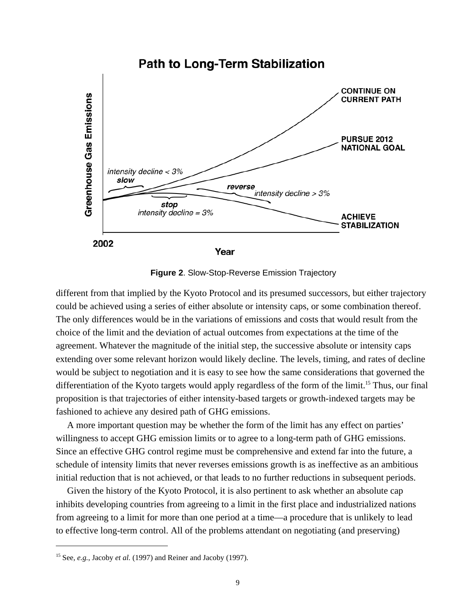

**Figure 2**. Slow-Stop-Reverse Emission Trajectory

different from that implied by the Kyoto Protocol and its presumed successors, but either trajectory could be achieved using a series of either absolute or intensity caps, or some combination thereof. The only differences would be in the variations of emissions and costs that would result from the choice of the limit and the deviation of actual outcomes from expectations at the time of the agreement. Whatever the magnitude of the initial step, the successive absolute or intensity caps extending over some relevant horizon would likely decline. The levels, timing, and rates of decline would be subject to negotiation and it is easy to see how the same considerations that governed the differentiation of the Kyoto targets would apply regardless of the form of the limit.<sup>15</sup> Thus, our final proposition is that trajectories of either intensity-based targets or growth-indexed targets may be fashioned to achieve any desired path of GHG emissions.

A more important question may be whether the form of the limit has any effect on parties' willingness to accept GHG emission limits or to agree to a long-term path of GHG emissions. Since an effective GHG control regime must be comprehensive and extend far into the future, a schedule of intensity limits that never reverses emissions growth is as ineffective as an ambitious initial reduction that is not achieved, or that leads to no further reductions in subsequent periods.

Given the history of the Kyoto Protocol, it is also pertinent to ask whether an absolute cap inhibits developing countries from agreeing to a limit in the first place and industrialized nations from agreeing to a limit for more than one period at a time—a procedure that is unlikely to lead to effective long-term control. All of the problems attendant on negotiating (and preserving)

 <sup>15</sup> See, *e.g.*, Jacoby *et al.* (1997) and Reiner and Jacoby (1997).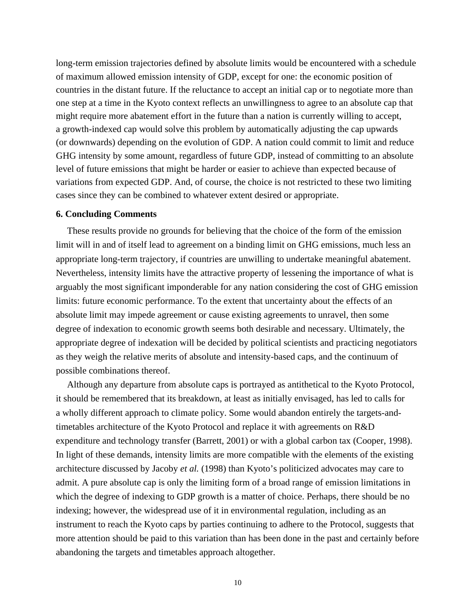long-term emission trajectories defined by absolute limits would be encountered with a schedule of maximum allowed emission intensity of GDP, except for one: the economic position of countries in the distant future. If the reluctance to accept an initial cap or to negotiate more than one step at a time in the Kyoto context reflects an unwillingness to agree to an absolute cap that might require more abatement effort in the future than a nation is currently willing to accept, a growth-indexed cap would solve this problem by automatically adjusting the cap upwards (or downwards) depending on the evolution of GDP. A nation could commit to limit and reduce GHG intensity by some amount, regardless of future GDP, instead of committing to an absolute level of future emissions that might be harder or easier to achieve than expected because of variations from expected GDP. And, of course, the choice is not restricted to these two limiting cases since they can be combined to whatever extent desired or appropriate.

#### **6. Concluding Comments**

These results provide no grounds for believing that the choice of the form of the emission limit will in and of itself lead to agreement on a binding limit on GHG emissions, much less an appropriate long-term trajectory, if countries are unwilling to undertake meaningful abatement. Nevertheless, intensity limits have the attractive property of lessening the importance of what is arguably the most significant imponderable for any nation considering the cost of GHG emission limits: future economic performance. To the extent that uncertainty about the effects of an absolute limit may impede agreement or cause existing agreements to unravel, then some degree of indexation to economic growth seems both desirable and necessary. Ultimately, the appropriate degree of indexation will be decided by political scientists and practicing negotiators as they weigh the relative merits of absolute and intensity-based caps, and the continuum of possible combinations thereof.

Although any departure from absolute caps is portrayed as antithetical to the Kyoto Protocol, it should be remembered that its breakdown, at least as initially envisaged, has led to calls for a wholly different approach to climate policy. Some would abandon entirely the targets-andtimetables architecture of the Kyoto Protocol and replace it with agreements on R&D expenditure and technology transfer (Barrett, 2001) or with a global carbon tax (Cooper, 1998). In light of these demands, intensity limits are more compatible with the elements of the existing architecture discussed by Jacoby *et al.* (1998) than Kyoto's politicized advocates may care to admit. A pure absolute cap is only the limiting form of a broad range of emission limitations in which the degree of indexing to GDP growth is a matter of choice. Perhaps, there should be no indexing; however, the widespread use of it in environmental regulation, including as an instrument to reach the Kyoto caps by parties continuing to adhere to the Protocol, suggests that more attention should be paid to this variation than has been done in the past and certainly before abandoning the targets and timetables approach altogether.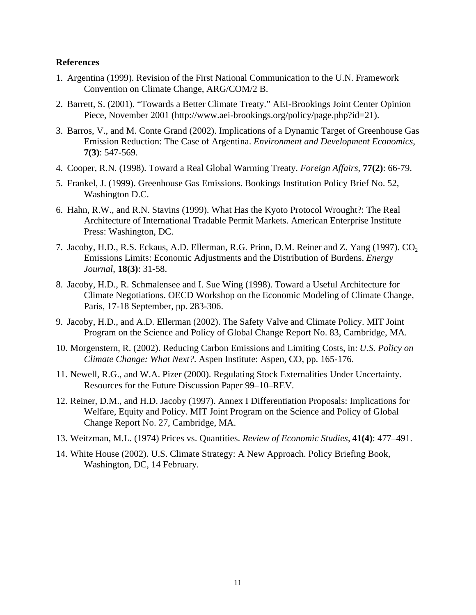## **References**

- 1. Argentina (1999). Revision of the First National Communication to the U.N. Framework Convention on Climate Change, ARG/COM/2 B.
- 2. Barrett, S. (2001). "Towards a Better Climate Treaty." AEI-Brookings Joint Center Opinion Piece, November 2001 (http://www.aei-brookings.org/policy/page.php?id=21).
- 3. Barros, V., and M. Conte Grand (2002). Implications of a Dynamic Target of Greenhouse Gas Emission Reduction: The Case of Argentina. *Environment and Development Economics*, **7(3)**: 547-569.
- 4. Cooper, R.N. (1998). Toward a Real Global Warming Treaty. *Foreign Affairs*, **77(2)**: 66-79.
- 5. Frankel, J. (1999). Greenhouse Gas Emissions. Bookings Institution Policy Brief No. 52, Washington D.C.
- 6. Hahn, R.W., and R.N. Stavins (1999). What Has the Kyoto Protocol Wrought?: The Real Architecture of International Tradable Permit Markets. American Enterprise Institute Press: Washington, DC.
- 7. Jacoby, H.D., R.S. Eckaus, A.D. Ellerman, R.G. Prinn, D.M. Reiner and Z. Yang (1997). CO<sub>2</sub> Emissions Limits: Economic Adjustments and the Distribution of Burdens. *Energy Journal*, **18(3)**: 31-58.
- 8. Jacoby, H.D., R. Schmalensee and I. Sue Wing (1998). Toward a Useful Architecture for Climate Negotiations. OECD Workshop on the Economic Modeling of Climate Change, Paris, 17-18 September, pp. 283-306.
- 9. Jacoby, H.D., and A.D. Ellerman (2002). The Safety Valve and Climate Policy. MIT Joint Program on the Science and Policy of Global Change Report No. 83, Cambridge, MA.
- 10. Morgenstern, R. (2002). Reducing Carbon Emissions and Limiting Costs, in: *U.S. Policy on Climate Change: What Next?*. Aspen Institute: Aspen, CO, pp. 165-176.
- 11. Newell, R.G., and W.A. Pizer (2000). Regulating Stock Externalities Under Uncertainty. Resources for the Future Discussion Paper 99–10–REV.
- 12. Reiner, D.M., and H.D. Jacoby (1997). Annex I Differentiation Proposals: Implications for Welfare, Equity and Policy. MIT Joint Program on the Science and Policy of Global Change Report No. 27, Cambridge, MA.
- 13. Weitzman, M.L. (1974) Prices vs. Quantities. *Review of Economic Studies*, **41(4)**: 477–491.
- 14. White House (2002). U.S. Climate Strategy: A New Approach. Policy Briefing Book, Washington, DC, 14 February.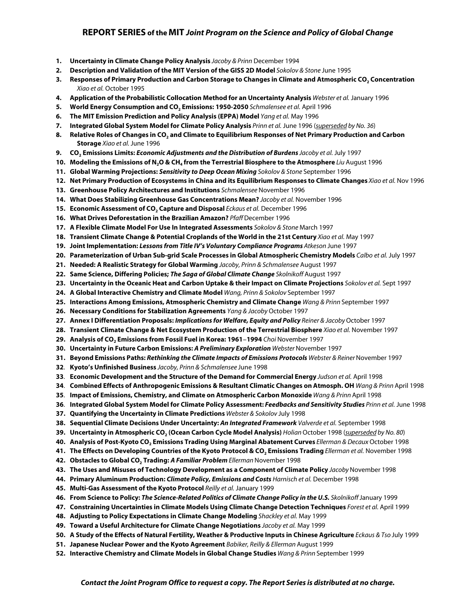#### **REPORT SERIES of the MIT** *Joint Program on the Science and Policy of Global Change*

- **1. Uncertainty in Climate Change Policy Analysis** *Jacoby & Prinn* December 1994
- **2. Description and Validation of the MIT Version of the GISS 2D Model** *Sokolov & Stone* June 1995
- **3. Responses of Primary Production and Carbon Storage to Changes in Climate and Atmospheric CO2 Concentration** *Xiao et al.* October 1995
- **4. Application of the Probabilistic Collocation Method for an Uncertainty Analysis** *Webster et al.* January 1996
- **5. World Energy Consumption and CO2 Emissions: 1950-2050** *Schmalensee et al.* April 1996
- **6. The MIT Emission Prediction and Policy Analysis (EPPA) Model** *Yang et al.* May 1996
- **7. Integrated Global System Model for Climate Policy Analysis** *Prinn et al.* June 1996 (*superseded by No. 36*)
- **8. Relative Roles of Changes in CO2 and Climate to Equilibrium Responses of Net Primary Production and Carbon Storage** *Xiao et al.* June 1996
- **9. CO2 Emissions Limits:** *Economic Adjustments and the Distribution of Burdens Jacoby et al.* July 1997
- **10. Modeling the Emissions of N<sub>2</sub>O & CH<sub>4</sub> from the Terrestrial Biosphere to the Atmosphere** *Liu* **August 1996**
- **11. Global Warming Projections:** *Sensitivity to Deep Ocean Mixing Sokolov & Stone* September 1996
- **12. Net Primary Production of Ecosystems in China and its Equilibrium Responses to Climate Changes** *Xiao et al.* Nov 1996
- **13. Greenhouse Policy Architectures and Institutions** *Schmalensee* November 1996
- **14. What Does Stabilizing Greenhouse Gas Concentrations Mean?** *Jacoby et al.* November 1996
- **15. Economic Assessment of CO2 Capture and Disposal** *Eckaus et al.* December 1996
- **16. What Drives Deforestation in the Brazilian Amazon?** *Pfaff* December 1996
- **17. A Flexible Climate Model For Use In Integrated Assessments** *Sokolov & Stone* March 1997
- **18. Transient Climate Change & Potential Croplands of the World in the 21st Century** *Xiao et al.* May 1997
- **19. Joint Implementation:** *Lessons from Title IV's Voluntary Compliance Programs Atkeson* June 1997
- **20. Parameterization of Urban Sub-grid Scale Processes in Global Atmospheric Chemistry Models** *Calbo et al.* July 1997
- **21. Needed: A Realistic Strategy for Global Warming** *Jacoby, Prinn & Schmalensee* August 1997
- **22. Same Science, Differing Policies;** *The Saga of Global Climate Change Skolnikoff* August 1997
- **23. Uncertainty in the Oceanic Heat and Carbon Uptake & their Impact on Climate Projections** *Sokolov et al.* Sept 1997
- **24. A Global Interactive Chemistry and Climate Model** *Wang, Prinn & Sokolov* September 1997
- **25. Interactions Among Emissions, Atmospheric Chemistry and Climate Change** *Wang & Prinn* September 1997
- **26. Necessary Conditions for Stabilization Agreements** *Yang & Jacoby* October 1997
- **27. Annex I Differentiation Proposals:** *Implications for Welfare, Equity and Policy Reiner & Jacoby* October 1997
- **28. Transient Climate Change & Net Ecosystem Production of the Terrestrial Biosphere** *Xiao et al.* November 1997
- **29. Analysis of CO2 Emissions from Fossil Fuel in Korea: 1961**−**1994** *Choi* November 1997
- **30. Uncertainty in Future Carbon Emissions:** *A Preliminary Exploration Webster* November 1997
- **31. Beyond Emissions Paths:** *Rethinking the Climate Impacts of Emissions Protocols Webster & Reiner* November 1997
- **32**. **Kyoto's Unfinished Business** *Jacoby, Prinn & Schmalensee* June 1998
- **33**. **Economic Development and the Structure of the Demand for Commercial Energy** *Judson et al.* April 1998
- **34**. **Combined Effects of Anthropogenic Emissions & Resultant Climatic Changes on Atmosph. OH** *Wang & Prinn* April 1998
- **35**. **Impact of Emissions, Chemistry, and Climate on Atmospheric Carbon Monoxide** *Wang & Prinn* April 1998
- **36**. **Integrated Global System Model for Climate Policy Assessment:** *Feedbacks and Sensitivity Studies Prinn et al.* June 1998
- **37. Quantifying the Uncertainty in Climate Predictions** *Webster & Sokolov* July 1998
- **38. Sequential Climate Decisions Under Uncertainty:** *An Integrated Framework Valverde et al.* September 1998
- **39. Uncertainty in Atmospheric CO2 (Ocean Carbon Cycle Model Analysis)** *Holian* October 1998 (*superseded by No. 80*)
- **40. Analysis of Post-Kyoto CO2 Emissions Trading Using Marginal Abatement Curves** *Ellerman & Decaux* October 1998
- **41. The Effects on Developing Countries of the Kyoto Protocol & CO, Emissions Trading** *Ellerman et al.* **November 1998**
- **42. Obstacles to Global CO2 Trading:** *A Familiar Problem Ellerman* November 1998
- **43. The Uses and Misuses of Technology Development as a Component of Climate Policy** *Jacoby* November 1998
- **44. Primary Aluminum Production:** *Climate Policy, Emissions and Costs Harnisch et al.* December 1998
- **45. Multi-Gas Assessment of the Kyoto Protocol** *Reilly et al.* January 1999
- **46. From Science to Policy:** *The Science-Related Politics of Climate Change Policy in the U.S. Skolnikoff* January 1999
- **47. Constraining Uncertainties in Climate Models Using Climate Change Detection Techniques** *Forest et al.* April 1999
- **48. Adjusting to Policy Expectations in Climate Change Modeling** *Shackley et al.* May 1999
- **49. Toward a Useful Architecture for Climate Change Negotiations** *Jacoby et al.* May 1999
- **50. A Study of the Effects of Natural Fertility, Weather & Productive Inputs in Chinese Agriculture** *Eckaus & Tso* July 1999
- **51. Japanese Nuclear Power and the Kyoto Agreement** *Babiker, Reilly & Ellerman* August 1999
- **52. Interactive Chemistry and Climate Models in Global Change Studies** *Wang & Prinn* September 1999